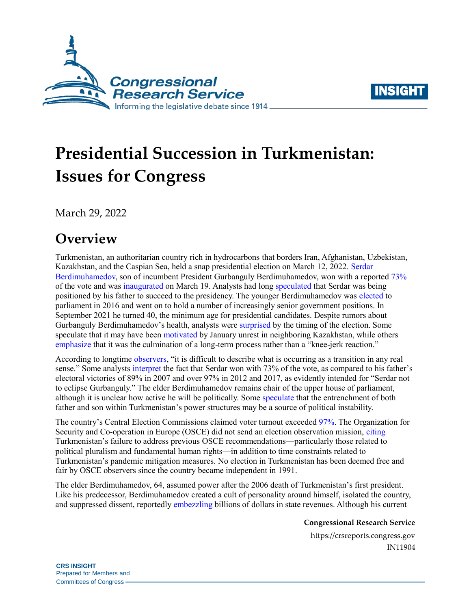



# **Presidential Succession in Turkmenistan: Issues for Congress**

March 29, 2022

## **Overview**

Turkmenistan, an authoritarian country rich in hydrocarbons that borders Iran, Afghanistan, Uzbekistan, Kazakhstan, and the Caspian Sea, held a snap presidential election on March 12, 2022. [Serdar](https://www.rferl.org/a/turkmenistan-serdar-berdymukhammedov-presidency/31726284.html)  [Berdimuhamedov,](https://www.rferl.org/a/turkmenistan-serdar-berdymukhammedov-presidency/31726284.html) son of incumbent President Gurbanguly Berdimuhamedov, won with a reported [73%](https://saylav.gov.tm/en/news/387) of the vote and was [inaugurated](https://eurasianet.org/turkmenistan-berdymukhamedov-passes-the-mantle-and-phone) on March 19. Analysts had long [speculated](https://www.rferl.org/a/turkmenistan-son-grooming-leader-berdymukhammedov-heir-apparent/31107420.html) that Serdar was being positioned by his father to succeed to the presidency. The younger Berdimuhamedov was [elected](https://www.reuters.com/article/us-turkmenistan-president-son-idUSKBN13I0VT) to parliament in 2016 and went on to hold a number of increasingly senior government positions. In September 2021 he turned 40, the minimum age for presidential candidates. Despite rumors about Gurbanguly Berdimuhamedov's health, analysts were [surprised](https://asia.nikkei.com/Politics/Secretive-Turkmenistan-speeds-toward-father-son-power-transfer) by the timing of the election. Some speculate that it may have been [motivated](https://foreignpolicy.com/2022/03/09/turkmenistan-election-berdimuhamedov-dynasty/) by January unrest in neighboring Kazakhstan, while others [emphasize](https://foreignpolicy.com/2022/03/09/turkmenistan-election-berdimuhamedov-dynasty/) that it was the culmination of a long-term process rather than a "knee-jerk reaction."

According to longtime [observers,](https://eurasianet.org/turkmenistan-vote-early-vote-often) "it is difficult to describe what is occurring as a transition in any real sense." Some analysts [interpret](https://eurasianet.org/turkmenistan-new-president-old-ideas) the fact that Serdar won with 73% of the vote, as compared to his father's electoral victories of 89% in 2007 and over 97% in 2012 and 2017, as evidently intended for "Serdar not to eclipse Gurbanguly." The elder Berdimuhamedov remains chair of the upper house of parliament, although it is unclear how active he will be politically. Some [speculate](https://thediplomat.com/2022/03/turkmenistan-will-get-a-new-president-on-march-12-will-it-matter/) that the entrenchment of both father and son within Turkmenistan's power structures may be a source of political instability.

The country's Central Election Commissions claimed voter turnout exceeded [97%.](https://saylav.gov.tm/en/news/387) The Organization for Security and Co-operation in Europe (OSCE) did not send an election observation mission, [citing](https://www.osce.org/files/f/documents/3/2/513565.pdf) Turkmenistan's failure to address previous OSCE recommendations—particularly those related to political pluralism and fundamental human rights—in addition to time constraints related to Turkmenistan's pandemic mitigation measures. No election in Turkmenistan has been deemed free and fair by OSCE observers since the country became independent in 1991.

The elder Berdimuhamedov, 64, assumed power after the 2006 death of Turkmenistan's first president. Like his predecessor, Berdimuhamedov created a cult of personality around himself, isolated the country, and suppressed dissent, reportedl[y embezzling](https://crudeaccountability.org/wp-content/uploads/web_Turkmenistan_A_Model_Kleptocracy_report.pdf) billions of dollars in state revenues. Although his current

**Congressional Research Service**

https://crsreports.congress.gov IN11904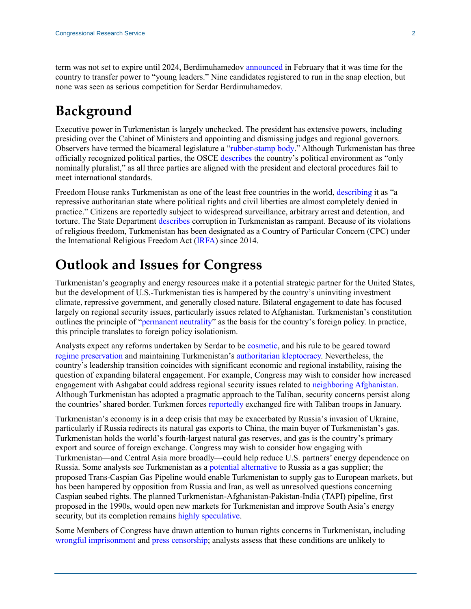term was not set to expire until 2024, Berdimuhamedov [announced](https://asia.nikkei.com/Politics/Secretive-Turkmenistan-speeds-toward-father-son-power-transfer) in February that it was time for the country to transfer power to "young leaders." Nine candidates registered to run in the snap election, but none was seen as serious competition for Serdar Berdimuhamedov.

## **Background**

Executive power in Turkmenistan is largely unchecked. The president has extensive powers, including presiding over the Cabinet of Ministers and appointing and dismissing judges and regional governors. Observers have termed the bicameral legislature a ["rubber-stamp body.](https://www.rferl.org/a/qishloq-ovozi-turkmenistan-berdymukhammedov-the-second/29115690.html)" Although Turkmenistan has three officially recognized political parties, the OSCE [describes](https://www.osce.org/files/f/documents/2/8/382915_0.pdf) the country's political environment as "only nominally pluralist," as all three parties are aligned with the president and electoral procedures fail to meet international standards.

Freedom House ranks Turkmenistan as one of the least free countries in the world, [describing](https://freedomhouse.org/country/turkmenistan/freedom-world/2021) it as "a repressive authoritarian state where political rights and civil liberties are almost completely denied in practice." Citizens are reportedly subject to widespread surveillance, arbitrary arrest and detention, and torture. The State Department [describes](https://www.state.gov/reports/2021-investment-climate-statements/turkmenistan) corruption in Turkmenistan as rampant. Because of its violations of religious freedom, Turkmenistan has been designated as a Country of Particular Concern (CPC) under the International Religious Freedom Act [\(IRFA\)](https://www.congress.gov/105/plaws/publ292/PLAW-105publ292.pdf) since 2014.

## **Outlook and Issues for Congress**

Turkmenistan's geography and energy resources make it a potential strategic partner for the United States, but the development of U.S.-Turkmenistan ties is hampered by the country's uninviting investment climate, repressive government, and generally closed nature. Bilateral engagement to date has focused largely on regional security issues, particularly issues related to Afghanistan. Turkmenistan's constitution outlines the principle of ["permanent neutrality"](https://www.mfa.gov.tm/en/articles/3) as the basis for the country's foreign policy. In practice, this principle translates to foreign policy isolationism.

Analysts expect any reforms undertaken by Serdar to be [cosmetic,](https://asia.nikkei.com/Politics/Secretive-Turkmenistan-speeds-toward-father-son-power-transfer) and his rule to be geared toward [regime preservation](https://foreignpolicy.com/2022/03/09/turkmenistan-election-berdimuhamedov-dynasty/) and maintaining Turkmenistan's [authoritarian kleptocracy.](https://www.chathamhouse.org/2022/03/turkmenistans-dynastic-transfer-power-has-twist) Nevertheless, the country's leadership transition coincides with significant economic and regional instability, raising the question of expanding bilateral engagement. For example, Congress may wish to consider how increased engagement with Ashgabat could address regional security issues related to [neighboring Afghanistan.](https://www.govinfo.gov/content/pkg/BILLS-117hr2471enr/pdf/BILLS-117hr2471enr.pdf#page=958) Although Turkmenistan has adopted a pragmatic approach to the Taliban, security concerns persist along the countries' shared border. Turkmen forces [reportedly](https://www.rferl.org/a/turkmen-taliban-border-shoot-out/31640971.html) exchanged fire with Taliban troops in January.

Turkmenistan's economy is in a deep crisis that may be exacerbated by Russia's invasion of Ukraine, particularly if Russia redirects its natural gas exports to China, the main buyer of Turkmenistan's gas. Turkmenistan holds the world's fourth-largest natural gas reserves, and gas is the country's primary export and source of foreign exchange. Congress may wish to consider how engaging with Turkmenistan—and Central Asia more broadly—could help reduce U.S. partners' energy dependence on Russia. Some analysts see Turkmenistan as a [potential alternative](https://crsreports.congress.gov/product/pdf/R/R42405) to Russia as a gas supplier; the proposed Trans-Caspian Gas Pipeline would enable Turkmenistan to supply gas to European markets, but has been hampered by opposition from Russia and Iran, as well as unresolved questions concerning Caspian seabed rights. The planned Turkmenistan-Afghanistan-Pakistan-India (TAPI) pipeline, first proposed in the 1990s, would open new markets for Turkmenistan and improve South Asia's energy security, but its completion remains [highly speculative.](https://thediplomat.com/2021/11/tapi-turkmenistan-and-the-taliban/)

Some Members of Congress have drawn attention to human rights concerns in Turkmenistan, including [wrongful imprisonment](https://www.foreign.senate.gov/imo/media/doc/06-29-20%20RM%20letter%20to%20Turkmenistan%20president%20re%20political%20prisoners.pdf) and [press censorship;](https://www.congress.gov/congressional-record/2021/5/26/senate-section/article/s3508-1) analysts assess that these conditions are unlikely to